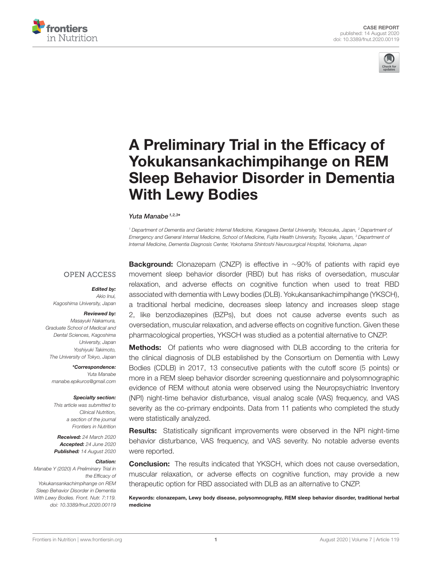



# A Preliminary Trial in the Efficacy of Yokukansankachimpihange on REM [Sleep Behavior Disorder in Dementia](https://www.frontiersin.org/articles/10.3389/fnut.2020.00119/full) With Lewy Bodies

#### [Yuta Manabe](http://loop.frontiersin.org/people/801376/overview)<sup>1,2,3\*</sup>

*<sup>1</sup> Department of Dementia and Geriatric Internal Medicine, Kanagawa Dental University, Yokosuka, Japan, <sup>2</sup> Department of Emergency and General Internal Medicine, School of Medicine, Fujita Health University, Toyoake, Japan, <sup>3</sup> Department of Internal Medicine, Dementia Diagnosis Center, Yokohama Shintoshi Neurosurgical Hospital, Yokohama, Japan*

#### **OPEN ACCESS**

#### Edited by:

*Akio Inui, Kagoshima University, Japan*

#### Reviewed by:

*Masayuki Nakamura, Graduate School of Medical and Dental Sciences, Kagoshima University, Japan Yoshiyuki Takimoto, The University of Tokyo, Japan*

\*Correspondence: *Yuta Manabe [manabe.epikuros@gmail.com](mailto:manabe.epikuros@gmail.com)*

#### Specialty section:

*This article was submitted to Clinical Nutrition, a section of the journal Frontiers in Nutrition*

Received: *24 March 2020* Accepted: *24 June 2020* Published: *14 August 2020*

#### Citation:

*Manabe Y (2020) A Preliminary Trial in the Efficacy of Yokukansankachimpihange on REM Sleep Behavior Disorder in Dementia With Lewy Bodies. Front. Nutr. 7:119. doi: [10.3389/fnut.2020.00119](https://doi.org/10.3389/fnut.2020.00119)*

Background: Clonazepam (CNZP) is effective in ~90% of patients with rapid eye movement sleep behavior disorder (RBD) but has risks of oversedation, muscular relaxation, and adverse effects on cognitive function when used to treat RBD associated with dementia with Lewy bodies (DLB). Yokukansankachimpihange (YKSCH), a traditional herbal medicine, decreases sleep latency and increases sleep stage 2, like benzodiazepines (BZPs), but does not cause adverse events such as oversedation, muscular relaxation, and adverse effects on cognitive function. Given these pharmacological properties, YKSCH was studied as a potential alternative to CNZP.

**Methods:** Of patients who were diagnosed with DLB according to the criteria for the clinical diagnosis of DLB established by the Consortium on Dementia with Lewy Bodies (CDLB) in 2017, 13 consecutive patients with the cutoff score (5 points) or more in a REM sleep behavior disorder screening questionnaire and polysomnographic evidence of REM without atonia were observed using the Neuropsychiatric Inventory (NPI) night-time behavior disturbance, visual analog scale (VAS) frequency, and VAS severity as the co-primary endpoints. Data from 11 patients who completed the study were statistically analyzed.

Results: Statistically significant improvements were observed in the NPI night-time behavior disturbance, VAS frequency, and VAS severity. No notable adverse events were reported.

**Conclusion:** The results indicated that YKSCH, which does not cause oversedation, muscular relaxation, or adverse effects on cognitive function, may provide a new therapeutic option for RBD associated with DLB as an alternative to CNZP.

Keywords: clonazepam, Lewy body disease, polysomnography, REM sleep behavior disorder, traditional herbal medicine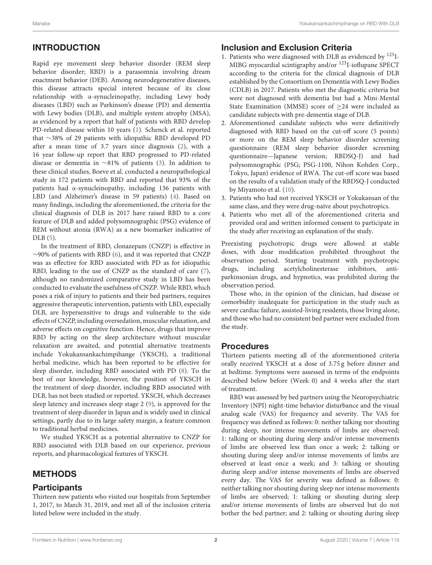# INTRODUCTION

Rapid eye movement sleep behavior disorder (REM sleep behavior disorder; RBD) is a parasomnia involving dream enactment behavior (DEB). Among neurodegenerative diseases, this disease attracts special interest because of its close relationship with α-synucleinopathy, including Lewy body diseases (LBD) such as Parkinson's disease (PD) and dementia with Lewy bodies (DLB), and multiple system atrophy (MSA), as evidenced by a report that half of patients with RBD develop PD-related disease within 10 years [\(1\)](#page-6-0). Schenck et al. reported that ∼38% of 29 patients with idiopathic RBD developed PD after a mean time of 3.7 years since diagnosis [\(2\)](#page-6-1), with a 16 year follow-up report that RBD progressed to PD-related disease or dementia in ∼81% of patients [\(3\)](#page-6-2). In addition to these clinical studies, Boeve et al. conducted a neuropathological study in 172 patients with RBD and reported that 93% of the patients had α-synucleinopathy, including 136 patients with LBD (and Alzheimer's disease in 59 patients) [\(4\)](#page-6-3). Based on many findings, including the aforementioned, the criteria for the clinical diagnosis of DLB in 2017 have raised RBD to a core feature of DLB and added polysomnographic (PSG) evidence of REM without atonia (RWA) as a new biomarker indicative of DLB [\(5\)](#page-6-4).

In the treatment of RBD, clonazepam (CNZP) is effective in ∼90% of patients with RBD [\(6\)](#page-6-5), and it was reported that CNZP was as effective for RBD associated with PD as for idiopathic RBD, leading to the use of CNZP as the standard of care [\(7\)](#page-6-6), although no randomized comparative study in LBD has been conducted to evaluate the usefulness of CNZP. While RBD, which poses a risk of injury to patients and their bed partners, requires aggressive therapeutic intervention, patients with LBD, especially DLB, are hypersensitive to drugs and vulnerable to the side effects of CNZP, including oversedation, muscular relaxation, and adverse effects on cognitive function. Hence, drugs that improve RBD by acting on the sleep architecture without muscular relaxation are awaited, and potential alternative treatments include Yokukansankachimpihange (YKSCH), a traditional herbal medicine, which has been reported to be effective for sleep disorder, including RBD associated with PD [\(8\)](#page-6-7). To the best of our knowledge, however, the position of YKSCH in the treatment of sleep disorder, including RBD associated with DLB, has not been studied or reported. YKSCH, which decreases sleep latency and increases sleep stage 2 [\(9\)](#page-6-8), is approved for the treatment of sleep disorder in Japan and is widely used in clinical settings, partly due to its large safety margin, a feature common to traditional herbal medicines.

We studied YKSCH as a potential alternative to CNZP for RBD associated with DLB based on our experience, previous reports, and pharmacological features of YKSCH.

# METHODS

### **Participants**

Thirteen new patients who visited our hospitals from September 1, 2017, to March 31, 2019, and met all of the inclusion criteria listed below were included in the study.

#### Inclusion and Exclusion Criteria

- 1. Patients who were diagnosed with DLB as evidenced by <sup>123</sup>I-MIBG myocardial scintigraphy and/or <sup>123</sup>I-ioflupane SPECT according to the criteria for the clinical diagnosis of DLB established by the Consortium on Dementia with Lewy Bodies (CDLB) in 2017. Patients who met the diagnostic criteria but were not diagnosed with dementia but had a Mini-Mental State Examination (MMSE) score of ≥24 were included as candidate subjects with pre-dementia stage of DLB.
- 2. Aforementioned candidate subjects who were definitively diagnosed with RBD based on the cut-off score (5 points) or more on the REM sleep behavior disorder screening questionnaire (REM sleep behavior disorder screening questionnaire—Japanese version; RBDSQ-J) and had polysomnographic (PSG; PSG-1100, Nihon Kohden Corp., Tokyo, Japan) evidence of RWA. The cut-off score was based on the results of a validation study of the RBDSQ-J conducted by Miyamoto et al. [\(10\)](#page-6-9).
- 3. Patients who had not received YKSCH or Yokukansan of the same class, and they were drug-naïve about psychotropics.
- 4. Patients who met all of the aforementioned criteria and provided oral and written informed consent to participate in the study after receiving an explanation of the study.

Preexisting psychotropic drugs were allowed at stable doses, with dose modification prohibited throughout the observation period. Starting treatment with psychotropic drugs, including acetylcholinesterase inhibitors, antiparkinsonian drugs, and hypnotics, was prohibited during the observation period.

Those who, in the opinion of the clinician, had disease or comorbidity inadequate for participation in the study such as severe cardiac failure, assisted-living residents, those living alone, and those who had no consistent bed partner were excluded from the study.

### Procedures

Thirteen patients meeting all of the aforementioned criteria orally received YKSCH at a dose of 3.75 g before dinner and at bedtime. Symptoms were assessed in terms of the endpoints described below before (Week 0) and 4 weeks after the start of treatment.

RBD was assessed by bed partners using the Neuropsychiatric Inventory (NPI) night-time behavior disturbance and the visual analog scale (VAS) for frequency and severity. The VAS for frequency was defined as follows: 0: neither talking nor shouting during sleep, nor intense movements of limbs are observed; 1: talking or shouting during sleep and/or intense movements of limbs are observed less than once a week; 2: talking or shouting during sleep and/or intense movements of limbs are observed at least once a week; and 3: talking or shouting during sleep and/or intense movements of limbs are observed every day. The VAS for severity was defined as follows: 0: neither talking nor shouting during sleep nor intense movements of limbs are observed; 1: talking or shouting during sleep and/or intense movements of limbs are observed but do not bother the bed partner; and 2: talking or shouting during sleep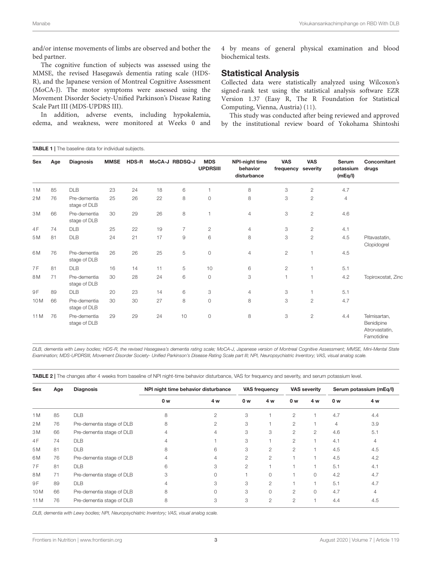and/or intense movements of limbs are observed and bother the bed partner.

The cognitive function of subjects was assessed using the MMSE, the revised Hasegawa's dementia rating scale (HDS-R), and the Japanese version of Montreal Cognitive Assessment (MoCA-J). The motor symptoms were assessed using the Movement Disorder Society-Unified Parkinson's Disease Rating Scale Part III (MDS-UPDRS III).

In addition, adverse events, including hypokalemia, edema, and weakness, were monitored at Weeks 0 and 4 by means of general physical examination and blood biochemical tests.

#### Statistical Analysis

Collected data were statistically analyzed using Wilcoxon's signed-rank test using the statistical analysis software EZR Version 1.37 (Easy R, The R Foundation for Statistical Computing, Vienna, Austria) [\(11\)](#page-6-10).

This study was conducted after being reviewed and approved by the institutional review board of Yokohama Shintoshi

<span id="page-2-0"></span>

| <b>TABLE 1</b>   The baseline data for individual subjects. |     |                              |             |              |    |                |                               |                                                  |                         |                        |                                      |                                                            |
|-------------------------------------------------------------|-----|------------------------------|-------------|--------------|----|----------------|-------------------------------|--------------------------------------------------|-------------------------|------------------------|--------------------------------------|------------------------------------------------------------|
| Sex                                                         | Age | <b>Diagnosis</b>             | <b>MMSE</b> | <b>HDS-R</b> |    | MoCA-J RBDSQ-J | <b>MDS</b><br><b>UPDRSIII</b> | <b>NPI-night time</b><br>behavior<br>disturbance | <b>VAS</b><br>frequency | <b>VAS</b><br>severity | <b>Serum</b><br>potassium<br>(mEq/I) | Concomitant<br>drugs                                       |
| 1 <sub>M</sub>                                              | 85  | <b>DLB</b>                   | 23          | 24           | 18 | 6              |                               | 8                                                | 3                       | $\overline{2}$         | 4.7                                  |                                                            |
| 2M                                                          | 76  | Pre-dementia<br>stage of DLB | 25          | 26           | 22 | 8              | $\circ$                       | 8                                                | 3                       | $\overline{c}$         | $\overline{4}$                       |                                                            |
| 3M                                                          | 66  | Pre-dementia<br>stage of DLB | 30          | 29           | 26 | 8              |                               | 4                                                | 3                       | $\mathbf{2}$           | 4.6                                  |                                                            |
| 4F                                                          | 74  | <b>DLB</b>                   | 25          | 22           | 19 | $\overline{7}$ | $\mathbf{2}$                  | 4                                                | 3                       | $\overline{c}$         | 4.1                                  |                                                            |
| 5 M                                                         | 81  | <b>DLB</b>                   | 24          | 21           | 17 | $\mathcal G$   | 6                             | 8                                                | 3                       | $\overline{c}$         | 4.5                                  | Pitavastatin,<br>Clopidogrel                               |
| 6M                                                          | 76  | Pre-dementia<br>stage of DLB | 26          | 26           | 25 | 5              | $\circ$                       | $\overline{4}$                                   | $\overline{2}$          | $\mathbf{1}$           | 4.5                                  |                                                            |
| 7 F                                                         | 81  | <b>DLB</b>                   | 16          | 14           | 11 | 5              | 10                            | 6                                                | $\mathbf{2}$            | $\mathbf{1}$           | 5.1                                  |                                                            |
| 8M                                                          | 71  | Pre-dementia<br>stage of DLB | 30          | 28           | 24 | 6              | $\circ$                       | 3                                                | 1                       | $\mathbf{1}$           | 4.2                                  | Topiroxostat, Zinc                                         |
| 9 F                                                         | 89  | DLB                          | 20          | 23           | 14 | 6              | 3                             | $\overline{4}$                                   | 3                       | 1                      | 5.1                                  |                                                            |
| 10 <sub>M</sub>                                             | 66  | Pre-dementia<br>stage of DLB | 30          | 30           | 27 | 8              | $\circ$                       | 8                                                | 3                       | $\overline{c}$         | 4.7                                  |                                                            |
| 11 M                                                        | 76  | Pre-dementia<br>stage of DLB | 29          | 29           | 24 | 10             | $\circ$                       | 8                                                | 3                       | $\overline{c}$         | 4.4                                  | Telmisartan,<br>Benidipine<br>Atrorvastatin,<br>Famotidine |

*DLB, dementia with Lewy bodies; HDS-R, the revised Hasegawa's dementia rating scale; MoCA-J, Japanese version of Montreal Cognitive Assessment; MMSE, Mini-Mental State Examination; MDS-UPDRSIII, Movement Disorder Society- Unified Parkinson's Disease Rating Scale part III; NPI, Neuropsychiatric Inventory; VAS, visual analog scale.*

<span id="page-2-1"></span>TABLE 2 | The changes after 4 weeks from baseline of NPI night-time behavior disturbance, VAS for frequency and severity, and serum potassium level.

| <b>Sex</b>      | Age | <b>Diagnosis</b>          | NPI night time behavior disturbance | <b>VAS frequency</b> |                | <b>VAS severity</b> |                | Serum potassium (mEq/l) |     |     |
|-----------------|-----|---------------------------|-------------------------------------|----------------------|----------------|---------------------|----------------|-------------------------|-----|-----|
|                 |     |                           | 0 w                                 | 4 w                  | 0 w            | 4 w                 | 0 w            | 4 w                     | 0 w | 4 w |
| 1 M             | 85  | <b>DLB</b>                | 8                                   | 2                    | 3              |                     | 2              |                         | 4.7 | 4.4 |
| 2M              | 76  | Pre-dementia stage of DLB | 8                                   | 2                    | 3              |                     | 2              |                         | 4   | 3.9 |
| 3 M             | 66  | Pre-dementia stage of DLB | 4                                   | 4                    | 3              | 3                   | 2              | 2                       | 4.6 | 5.1 |
| 4F              | 74  | <b>DLB</b>                | 4                                   |                      | 3              |                     | $\overline{2}$ |                         | 4.1 | 4   |
| 5 M             | 81  | <b>DLB</b>                | 8                                   | 6                    | 3              | $\overline{c}$      | $\overline{2}$ |                         | 4.5 | 4.5 |
| 6 M             | 76  | Pre-dementia stage of DLB | 4                                   | 4                    | $\mathfrak{D}$ | $\overline{2}$      | H.             | $\overline{a}$          | 4.5 | 4.2 |
| 7F              | 81  | <b>DLB</b>                | 6                                   | 3                    | 2              |                     |                |                         | 5.1 | 4.1 |
| 8 M             | 71  | Pre-dementia stage of DLB | 3                                   | $\Omega$             |                | 0                   |                | $\Omega$                | 4.2 | 4.7 |
| 9 F             | 89  | <b>DLB</b>                | $\overline{4}$                      | 3                    | 3              | 2                   |                |                         | 5.1 | 4.7 |
| 10 <sub>M</sub> | 66  | Pre-dementia stage of DLB | 8                                   | $\Omega$             | 3              | 0                   | $\overline{2}$ | 0                       | 4.7 | 4   |
| 11 M            | 76  | Pre-dementia stage of DLB | 8                                   | 3                    | 3              | $\overline{c}$      | $\overline{2}$ |                         | 4.4 | 4.5 |

*DLB, dementia with Lewy bodies; NPI, Neuropsychiatric Inventory; VAS, visual analog scale.*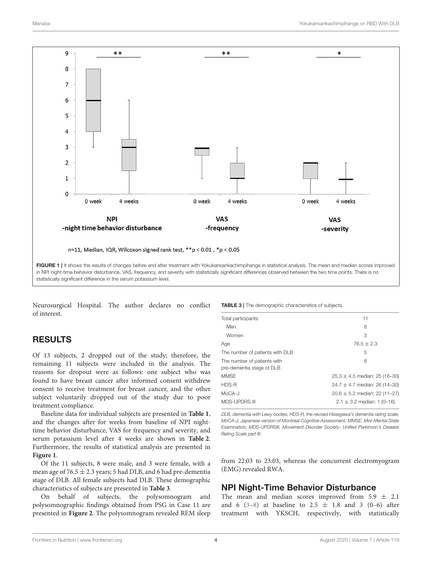

<span id="page-3-0"></span>Neurosurgical Hospital. The author declares no conflict of interest.

# RESULTS

Of 13 subjects, 2 dropped out of the study; therefore, the remaining 11 subjects were included in the analysis. The reasons for dropout were as follows: one subject who was found to have breast cancer after informed consent withdrew consent to receive treatment for breast cancer, and the other subject voluntarily dropped out of the study due to poor treatment compliance.

Baseline data for individual subjects are presented in **[Table 1](#page-2-0)**, and the changes after for weeks from baseline of NPI nighttime behavior disturbance, VAS for frequency and severity, and serum potassium level after 4 weeks are shown in **[Table 2](#page-2-1)**. Furthermore, the results of statistical analysis are presented in **[Figure 1](#page-3-0)**.

Of the 11 subjects, 8 were male, and 3 were female, with a mean age of  $76.5 \pm 2.3$  years; 5 had DLB, and 6 had pre-dementia stage of DLB. All female subjects had DLB. These demographic characteristics of subjects are presented in **[Table 3](#page-3-1)**.

On behalf of subjects, the polysomnogram and polysomnographic findings obtained from PSG in Case 11 are presented in **[Figure 2](#page-4-0)**. The polysomnogram revealed REM sleep <span id="page-3-1"></span>**TABLE 3** | The demographic characteristics of subjects.

| Total participants                                       | 11                                |  |  |  |  |  |
|----------------------------------------------------------|-----------------------------------|--|--|--|--|--|
| Men                                                      | 8                                 |  |  |  |  |  |
| Women                                                    | 3                                 |  |  |  |  |  |
| Age                                                      | $76.5 + 2.3$                      |  |  |  |  |  |
| The number of patients with DLB                          | 5                                 |  |  |  |  |  |
| The number of patients with<br>pre-dementia stage of DLB | 6                                 |  |  |  |  |  |
| <b>MMSE</b>                                              | $25.3 \pm 4.5$ median: 25 (16-30) |  |  |  |  |  |
| HDS-R                                                    | $24.7 \pm 4.7$ median: 26 (14-30) |  |  |  |  |  |
| $MoCA-J$                                                 | $20.6 \pm 5.2$ median: 22 (11-27) |  |  |  |  |  |
| <b>MDS-UPDRS III</b>                                     | $2.1 \pm 3.2$ median: 1 (0-16)    |  |  |  |  |  |
|                                                          |                                   |  |  |  |  |  |

*DLB, dementia with Lewy bodies; HDS-R, the revised Hasegawa's dementia rating scale; MoCA-J, Japanese version of Montreal Cognitive Assessment; MMSE, Mini-Mental State Examination; MDS-UPDRSIII, Movement Disorder Society- Unified Parkinson's Disease Rating Scale part III.*

from 22:03 to 23:03, whereas the concurrent electromyogram (EMG) revealed RWA.

### NPI Night-Time Behavior Disturbance

The mean and median scores improved from  $5.9 \pm 2.1$ and 6 [\(3](#page-6-2)-8) at baseline to 2.5  $\pm$  1.8 and 3 (0-6) after treatment with YKSCH, respectively, with statistically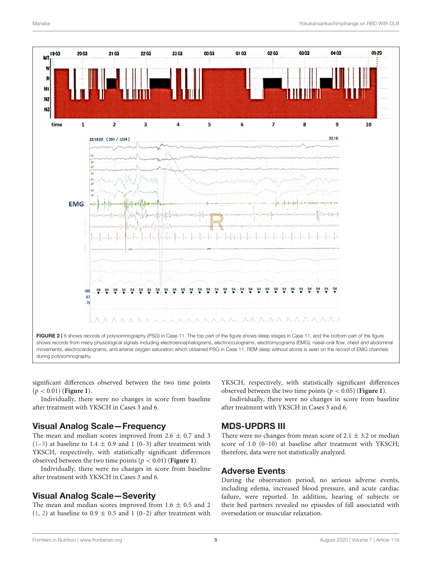

<span id="page-4-0"></span>significant differences observed between the two time points (p < 0.01) (**[Figure 1](#page-3-0)**).

Individually, there were no changes in score from baseline after treatment with YKSCH in Cases 3 and 6.

#### Visual Analog Scale—Frequency

The mean and median scores improved from  $2.6 \pm 0.7$  and 3  $(1-3)$  $(1-3)$  at baseline to 1.4  $\pm$  0.9 and 1 (0-3) after treatment with YKSCH, respectively, with statistically significant differences observed between the two time points  $(p < 0.01)$  (**[Figure 1](#page-3-0)**).

Individually, there were no changes in score from baseline after treatment with YKSCH in Cases 3 and 6.

#### Visual Analog Scale—Severity

The mean and median scores improved from  $1.6 \pm 0.5$  and 2 [\(1,](#page-6-0) [2\)](#page-6-1) at baseline to  $0.9 \pm 0.5$  and 1 (0–2) after treatment with YKSCH, respectively, with statistically significant differences observed between the two time points ( $p < 0.05$ ) (**[Figure 1](#page-3-0)**).

Individually, there were no changes in score from baseline after treatment with YKSCH in Cases 3 and 6.

#### MDS-UPDRS III

There were no changes from mean score of  $2.1 \pm 3.2$  or median score of 1.0 (0–10) at baseline after treatment with YKSCH; therefore, data were not statistically analyzed.

#### Adverse Events

During the observation period, no serious adverse events, including edema, increased blood pressure, and acute cardiac failure, were reported. In addition, hearing of subjects or their bed partners revealed no episodes of fall associated with oversedation or muscular relaxation.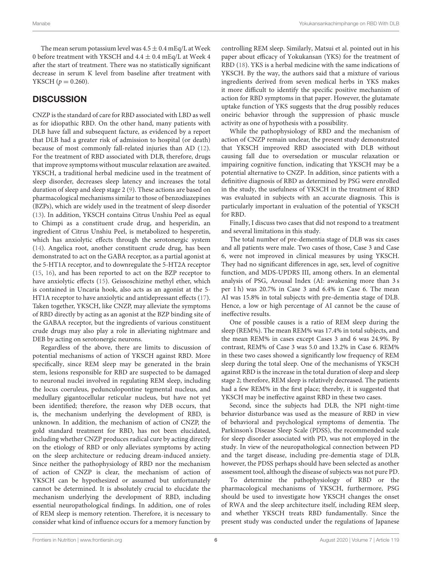The mean serum potassium level was  $4.5 \pm 0.4$  mEq/L at Week 0 before treatment with YKSCH and  $4.4 \pm 0.4$  mEq/L at Week 4 after the start of treatment. There was no statistically significant decrease in serum K level from baseline after treatment with YKSCH  $(p = 0.260)$ .

## **DISCUSSION**

CNZP is the standard of care for RBD associated with LBD as well as for idiopathic RBD. On the other hand, many patients with DLB have fall and subsequent facture, as evidenced by a report that DLB had a greater risk of admission to hospital (or death) because of most commonly fall-related injuries than AD [\(12\)](#page-6-11). For the treatment of RBD associated with DLB, therefore, drugs that improve symptoms without muscular relaxation are awaited. YKSCH, a traditional herbal medicine used in the treatment of sleep disorder, decreases sleep latency and increases the total duration of sleep and sleep stage 2 [\(9\)](#page-6-8). These actions are based on pharmacological mechanisms similar to those of benzodiazepines (BZPs), which are widely used in the treatment of sleep disorder [\(13\)](#page-6-12). In addition, YKSCH contains Citrus Unshiu Peel as equal to Chimpi as a constituent crude drug, and hesperidin, an ingredient of Citrus Unshiu Peel, is metabolized to hesperetin, which has anxiolytic effects through the serotonergic system [\(14\)](#page-6-13). Angelica root, another constituent crude drug, has been demonstrated to act on the GABA receptor, as a partial agonist at the 5-HT1A receptor, and to downregulate the 5-HT2A receptor [\(15,](#page-6-14) [16\)](#page-6-15), and has been reported to act on the BZP receptor to have anxiolytic effects [\(15\)](#page-6-14). Geissoschizine methyl ether, which is contained in Uncaria hook, also acts as an agonist at the 5- HT1A receptor to have anxiolytic and antidepressant effects [\(17\)](#page-6-16). Taken together, YKSCH, like CNZP, may alleviate the symptoms of RBD directly by acting as an agonist at the BZP binding site of the GABAA receptor, but the ingredients of various constituent crude drugs may also play a role in alleviating nightmare and DEB by acting on serotonergic neurons.

Regardless of the above, there are limits to discussion of potential mechanisms of action of YKSCH against RBD. More specifically, since REM sleep may be generated in the brain stem, lesions responsible for RBD are suspected to be damaged to neuronal nuclei involved in regulating REM sleep, including the locus coeruleus, pedunculopontine tegmental nucleus, and medullary gigantocellular reticular nucleus, but have not yet been identified; therefore, the reason why DEB occurs, that is, the mechanism underlying the development of RBD, is unknown. In addition, the mechanism of action of CNZP, the gold standard treatment for RBD, has not been elucidated, including whether CNZP produces radical cure by acting directly on the etiology of RBD or only alleviates symptoms by acting on the sleep architecture or reducing dream-induced anxiety. Since neither the pathophysiology of RBD nor the mechanism of action of CNZP is clear, the mechanism of action of YKSCH can be hypothesized or assumed but unfortunately cannot be determined. It is absolutely crucial to elucidate the mechanism underlying the development of RBD, including essential neuropathological findings. In addition, one of roles of REM sleep is memory retention. Therefore, it is necessary to consider what kind of influence occurs for a memory function by controlling REM sleep. Similarly, Matsui et al. pointed out in his paper about efficacy of Yokukansan (YKS) for the treatment of RBD [\(18\)](#page-6-17). YKS is a herbal medicine with the same indications of YKSCH. By the way, the authors said that a mixture of various ingredients derived from seven medical herbs in YKS makes it more difficult to identify the specific positive mechanism of action for RBD symptoms in that paper. However, the glutamate uptake function of YKS suggests that the drug possibly reduces oneiric behavior through the suppression of phasic muscle activity as one of hypothesis with a possibility.

While the pathophysiology of RBD and the mechanism of action of CNZP remain unclear, the present study demonstrated that YKSCH improved RBD associated with DLB without causing fall due to oversedation or muscular relaxation or impairing cognitive function, indicating that YKSCH may be a potential alternative to CNZP. In addition, since patients with a definitive diagnosis of RBD as determined by PSG were enrolled in the study, the usefulness of YKSCH in the treatment of RBD was evaluated in subjects with an accurate diagnosis. This is particularly important in evaluation of the potential of YKSCH for RBD.

Finally, I discuss two cases that did not respond to a treatment and several limitations in this study.

The total number of pre-dementia stage of DLB was six cases and all patients were male. Two cases of those, Case 3 and Case 6, were not improved in clinical measures by using YKSCH. They had no significant differences in age, sex, level of cognitive function, and MDS-UPDRS III, among others. In an elemental analysis of PSG, Arousal Index (AI: awakening more than 3 s per 1 h) was 20.7% in Case 3 and 6.4% in Case 6. The mean AI was 15.8% in total subjects with pre-dementia stage of DLB. Hence, a low or high percentage of AI cannot be the cause of ineffective results.

One of possible causes is a ratio of REM sleep during the sleep (REM%). The mean REM% was 17.4% in total subjects, and the mean REM% in cases except Cases 3 and 6 was 24.9%. By contrast, REM% of Case 3 was 5.0 and 13.2% in Case 6. REM% in these two cases showed a significantly low frequency of REM sleep during the total sleep. One of the mechanisms of YKSCH against RBD is the increase in the total duration of sleep and sleep stage 2; therefore, REM sleep is relatively decreased. The patients had a few REM% in the first place; thereby, it is suggested that YKSCH may be ineffective against RBD in these two cases.

Second, since the subjects had DLB, the NPI night-time behavior disturbance was used as the measure of RBD in view of behavioral and psychological symptoms of dementia. The Parkinson's Disease Sleep Scale (PDSS), the recommended scale for sleep disorder associated with PD, was not employed in the study. In view of the neuropathological connection between PD and the target disease, including pre-dementia stage of DLB, however, the PDSS perhaps should have been selected as another assessment tool, although the disease of subjects was not pure PD.

To determine the pathophysiology of RBD or the pharmacological mechanisms of YKSCH, furthermore, PSG should be used to investigate how YKSCH changes the onset of RWA and the sleep architecture itself, including REM sleep, and whether YKSCH treats RBD fundamentally. Since the present study was conducted under the regulations of Japanese